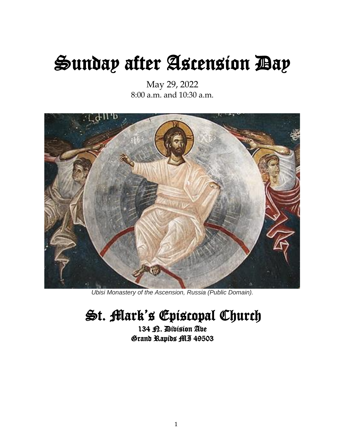# Sunday after Ascension Day

May 29, 2022 8:00 a.m. and 10:30 a.m.



*Ubisi Monastery of the Ascension, Russia (Public Domain).*

# St. Mark's Episcopal Church

134 <sub>R.</sub> Division Ave Grand Rapids MI 49503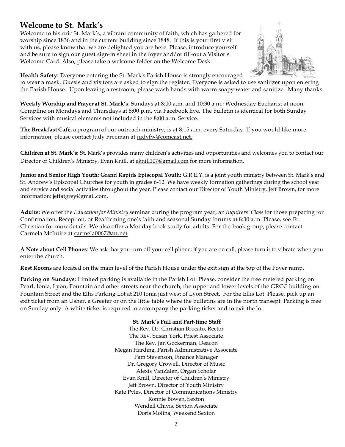# **Welcome to St. Mark's**

Welcome to historic St. Mark's, a vibrant community of faith, which has gathered for worship since 1836 and in the current building since 1848. If this is your first visit with us, please know that we are delighted you are here. Please, introduce yourself and be sure to sign our guest sign-in sheet in the foyer and/or fill-out a Visitor's Welcome Card. Also, please take a welcome folder on the Welcome Desk.



**Health Safety:** Everyone entering the St. Mark's Parish House is strongly encouraged

to wear a mask. Guests and visitors are asked to sign the register. Everyone is asked to use sanitizer upon entering the Parish House. Upon leaving a restroom, please wash hands with warm soapy water and sanitize. Many thanks.

**Weekly Worship and Prayer at St. Mark's**: Sundays at 8:00 a.m. and 10:30 a.m.; Wednesday Eucharist at noon; Compline on Mondays and Thursdays at 8:00 p.m. via Facebook live. The bulletin is identical for both Sunday Services with musical elements not included in the 8:00 a.m. Service.

**The Breakfast Café**, a program of our outreach ministry, is at 8:15 a.m. every Saturday. If you would like more information, please contact Judy Freeman at [judyfw@comcast.net.](mailto:judyfw@comcast.net)

**Children at St. Mark's:** St. Mark's provides many children's activities and opportunities and welcomes you to contact our Director of Children's Ministry, Evan Knill, at [eknill107@gmail.com](mailto:eknill107@gmail.com) for more information.

**Junior and Senior High Youth: Grand Rapids Episcopal Youth:** G.R.E.Y. is a joint youth ministry between St. Mark's and St. Andrew's Episcopal Churches for youth in grades 6-12. We have weekly formation gatherings during the school year and service and social activities throughout the year. Please contact our Director of Youth Ministry, Jeff Brown, for more information[: jeffatgrey@gmail.com.](mailto:jeffatgrey@gmail.com)

**Adults:** We offer the *Education for Ministry* seminar during the program year, an *Inquirers' Class*for those preparing for Confirmation, Reception, or Reaffirming one's faith and seasonal Sunday forums at 8:30 a.m. Please, see Fr. Christian for moredetails. We also offer a Monday book study for adults. For the book group, please contact Carmela McIntire at [carmela0067@att.net](mailto:carmela0067@att.net)

**A Note about Cell Phones**: We ask that you turn off your cell phone; if you are on call, please turn it to vibrate when you enter the church.

**Rest Rooms** are located on the main level of the Parish House under the exit sign at the top of the Foyer ramp.

**Parking on Sundays**: Limited parking is available in the Parish Lot. Please, consider the free metered parking on Pearl, Ionia, Lyon, Fountain and other streets near the church, the upper and lower levels of the GRCC building on Fountain Street and the Ellis Parking Lot at 210 Ionia just west of Lyon Street. For the Ellis Lot: Please, pick up an exit ticket from an Usher, a Greeter or on the little table where the bulletins are in the north transept. Parking is free on Sunday only. A white ticket is required to accompany the parking ticket and to exit the lot.

#### **St. Mark's Full and Part-time Staff**

The Rev. Dr. Christian Brocato, Rector The Rev. Susan York, Priest Associate The Rev. Jan Gockerman, Deacon Megan Harding, Parish Administrative Associate Pam Stevenson, Finance Manager Dr. Gregory Crowell, Director of Music Alexis VanZalen, Organ Scholar Evan Knill, Director of Children's Ministry Jeff Brown, Director of Youth Ministry Kate Pyles, Director of Communications Ministry Ronnie Bowen, Sexton Wendell Chivis, Sexton Associate Doris Molina, Weekend Sexton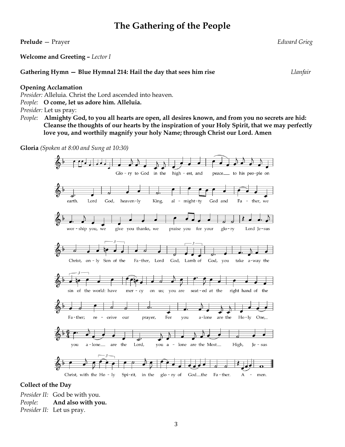# **The Gathering of the People**

**Prelude** — Prayer *Edward Grieg* **Welcome and Greeting –** *Lector I* **Gathering Hymn — Blue Hymnal 214: Hail the day that sees him rise** *Llanfair* **Opening Acclamation** *Presider:* Alleluia. Christ the Lord ascended into heaven. *People:* **O come, let us adore him. Alleluia.** *Presider:* Let us pray: *People:* **Almighty God, to you all hearts are open, all desires known, and from you no secrets are hid: Cleanse the thoughts of our hearts by the inspiration of your Holy Spirit, that we may perfectly love you, and worthily magnify your holy Name; through Christ our Lord. Amen Gloria** *(Spoken at 8:00 and Sung at 10:30)*  $\Box$ . Glo-ry to God in the high - est, and peace\_\_ to his peo-ple on earth. Lord God, heaven-ly King, al - might-ty God and Fa - ther, we wor - ship you, we give you thanks, we praise you for your  $g$ lo-ry Lord Je-sus Christ, on - ly Son of the Fa-ther, Lord God, Lamb of God, you take a-way the right hand of the sin of the world: have on us; seat-ed at the  $mer - cy$ you are d. Fa-ther; re ceive our prayer, For you a-lone are the Ho-ly One,  $\,$ a - lone $\_$ are the Lord, you a - lone are the Most\_ High, you Je - sus <del>₹</del> Christ, with the Ho - ly Spi-rit, in the glo-ry of God\_the Fa - ther.  $\boldsymbol{\rm{A}}$  $\sim$ men.

#### **Collect of the Day**

*Presider II:* God be with you. *People:* **And also with you.** *Presider II:* Let us pray.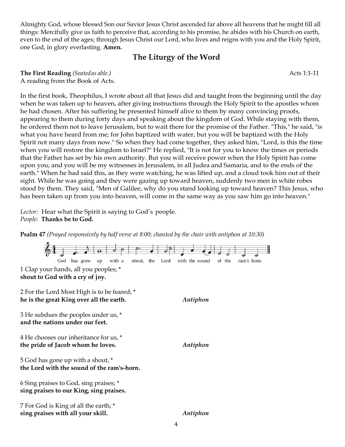Almighty God, whose blessed Son our Savior Jesus Christ ascended far above all heavens that he might fill all things: Mercifully give us faith to perceive that, according to his promise, he abides with his Church on earth, even to the end of the ages; through Jesus Christ our Lord, who lives and reigns with you and the Holy Spirit, one God, in glory everlasting. **Amen.**

# **The Liturgy of the Word**

**The First Reading** *(Seatedas able.)* Acts 1:1-11 A reading from the Book of Acts.

In the first book, Theophilus, I wrote about all that Jesus did and taught from the beginning until the day when he was taken up to heaven, after giving instructions through the Holy Spirit to the apostles whom he had chosen. After his suffering he presented himself alive to them by many convincing proofs, appearing to them during forty days and speaking about the kingdom of God. While staying with them, he ordered them not to leave Jerusalem, but to wait there for the promise of the Father. "This," he said, "is what you have heard from me; for John baptized with water, but you will be baptized with the Holy Spirit not many days from now." So when they had come together, they asked him, "Lord, is this the time when you will restore the kingdom to Israel?" He replied, "It is not for you to know the times or periods that the Father has set by his own authority. But you will receive power when the Holy Spirit has come upon you; and you will be my witnesses in Jerusalem, in all Judea and Samaria, and to the ends of the earth." When he had said this, as they were watching, he was lifted up, and a cloud took him out of their sight. While he was going and they were gazing up toward heaven, suddenly two men in white robes stood by them. They said, "Men of Galilee, why do you stand looking up toward heaven? This Jesus, who has been taken up from you into heaven, will come in the same way as you saw him go into heaven."

Lector: Hear what the Spirit is saying to God's people. *People:* **Thanks be to God.**

**Psalm 47** *(Prayed responsively by half verse at 8:00; chanted by the choir with antiphon at 10:30)*

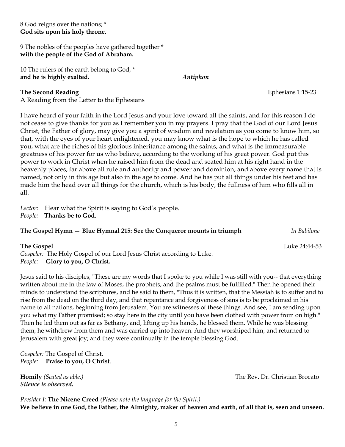8 God reigns over the nations; \* **God sits upon his holy throne.**

9 The nobles of the peoples have gathered together \* **with the people of the God of Abraham.**

10 The rulers of the earth belong to God, \* **and he is highly exalted.** *Antiphon*

**The Second Reading Ephesians 1:15-23** 

A Reading from the Letter to the Ephesians

I have heard of your faith in the Lord Jesus and your love toward all the saints, and for this reason I do not cease to give thanks for you as I remember you in my prayers. I pray that the God of our Lord Jesus Christ, the Father of glory, may give you a spirit of wisdom and revelation as you come to know him, so that, with the eyes of your heart enlightened, you may know what is the hope to which he has called you, what are the riches of his glorious inheritance among the saints, and what is the immeasurable greatness of his power for us who believe, according to the working of his great power. God put this power to work in Christ when he raised him from the dead and seated him at his right hand in the heavenly places, far above all rule and authority and power and dominion, and above every name that is named, not only in this age but also in the age to come. And he has put all things under his feet and has made him the head over all things for the church, which is his body, the fullness of him who fills all in all.

Lector: Hear what the Spirit is saying to God's people. *People:* **Thanks be to God.**

#### **The Gospel Hymn — Blue Hymnal 215: See the Conqueror mounts in triumph** *In Babilone*

| The Gospel                                                            | Luke 24:44-53 |
|-----------------------------------------------------------------------|---------------|
| Gospeler: The Holy Gospel of our Lord Jesus Christ according to Luke. |               |
| <i>People:</i> Glory to you, O Christ.                                |               |

Jesus said to his disciples, "These are my words that I spoke to you while I was still with you-- that everything written about me in the law of Moses, the prophets, and the psalms must be fulfilled." Then he opened their minds to understand the scriptures, and he said to them, "Thus it is written, that the Messiah is to suffer and to rise from the dead on the third day, and that repentance and forgiveness of sins is to be proclaimed in his name to all nations, beginning from Jerusalem. You are witnesses of these things. And see, I am sending upon you what my Father promised; so stay here in the city until you have been clothed with power from on high." Then he led them out as far as Bethany, and, lifting up his hands, he blessed them. While he was blessing them, he withdrew from them and was carried up into heaven. And they worshiped him, and returned to Jerusalem with great joy; and they were continually in the temple blessing God.

*Gospeler:* The Gospel of Christ. *People:* **Praise to you, O Christ***.*

**Homily** *(Seated as able.)* The Rev. Dr. Christian Brocato *Silence is observed.*

*Presider I:* **The Nicene Creed** *(Please note the language for the Spirit.)* **We believe in one God, the Father, the Almighty, maker of heaven and earth, of all that is, seen and unseen.**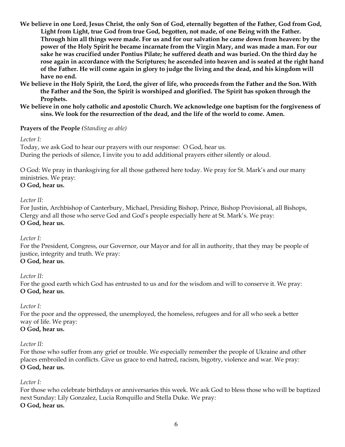- **We believe in one Lord, Jesus Christ, the only Son of God, eternally begotten of the Father, God from God, Light from Light, true God from true God, begotten, not made, of one Being with the Father. Through him all things were made. For us and for our salvation he came down from heaven: by the power of the Holy Spirit he became incarnate from the Virgin Mary, and was made a man. For our sake he was crucified under Pontius Pilate; he suffered death and was buried. On the third day he rose again in accordance with the Scriptures; he ascended into heaven and is seated at the right hand of the Father. He will come again in glory to judge the living and the dead, and his kingdom will have no end.**
- **We believe in the Holy Spirit, the Lord, the giver of life, who proceeds from the Father and the Son. With the Father and the Son, the Spirit is worshiped and glorified. The Spirit has spoken through the Prophets.**
- **We believe in one holy catholic and apostolic Church. We acknowledge one baptism for the forgiveness of sins. We look for the resurrection of the dead, and the life of the world to come. Amen.**

#### **Prayers of the People** *(Standing as able)*

*Lector I:*

Today, we ask God to hear our prayers with our response: O God, hear us. During the periods of silence, I invite you to add additional prayers either silently or aloud.

O God: We pray in thanksgiving for all those gathered here today. We pray for St. Mark's and our many ministries. We pray: **O God, hear us.**

#### *Lector II:*

For Justin, Archbishop of Canterbury, Michael, Presiding Bishop, Prince, Bishop Provisional, all Bishops, Clergy and all those who serve God and God's people especially here at St. Mark's. We pray: **O God, hear us.**

#### *Lector I:*

For the President, Congress, our Governor, our Mayor and for all in authority, that they may be people of justice, integrity and truth. We pray: **O God, hear us.**

*Lector II:*

For the good earth which God has entrusted to us and for the wisdom and will to conserve it. We pray: **O God, hear us.**

#### *Lector I:*

For the poor and the oppressed, the unemployed, the homeless, refugees and for all who seek a better way of life. We pray:

#### **O God, hear us.**

#### *Lector II:*

For those who suffer from any grief or trouble. We especially remember the people of Ukraine and other places embroiled in conflicts. Give us grace to end hatred, racism, bigotry, violence and war. We pray: **O God, hear us.**

#### *Lector I:*

For those who celebrate birthdays or anniversaries this week. We ask God to bless those who will be baptized next Sunday: Lily Gonzalez, Lucia Ronquillo and Stella Duke. We pray: **O God, hear us.**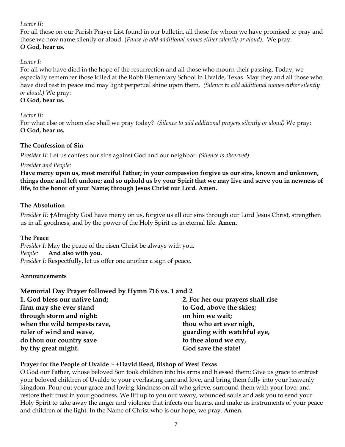#### *Lector II:*

For all those on our Parish Prayer List found in our bulletin, all those for whom we have promised to pray and those we now name silently or aloud. (*Pause to add additional names either silently or aloud).* We pray: **O God, hear us.**

#### *Lector I:*

For all who have died in the hope of the resurrection and all those who mourn their passing. Today, we especially remember those killed at the Robb Elementary School in Uvalde, Texas. May they and all those who have died rest in peace and may light perpetual shine upon them. *(Silence to add additional names either silently or aloud.)* We pray:

#### **O God, hear us.**

#### *Lector II:*

For what else or whom else shall we pray today? *(Silence to add additional prayers silently or aloud)* We pray: **O God, hear us.**

#### **The Confession of Sin**

*Presider II:* Let us confess our sins against God and our neighbor. *(Silence is observed)*

#### *Presider and People:*

**Have mercy upon us, most merciful Father; in your compassion forgive us our sins, known and unknown, things done and left undone; and so uphold us by your Spirit that we may live and serve you in newness of life, to the honor of your Name; through Jesus Christ our Lord. Amen.**

#### **The Absolution**

*Presider II:* **†**Almighty God have mercy on us, forgive us all our sins through our Lord Jesus Christ, strengthen us in all goodness, and by the power of the Holy Spirit us in eternal life. **Amen.**

#### **The Peace**

*Presider I:* May the peace of the risen Christ be always with you. *People:* **And also with you.** *Presider I:* Respectfully, let us offer one another a sign of peace.

#### **Announcements**

### **Memorial Day Prayer followed by Hymn 716 vs. 1 and 2**

| 1. God bless our native land; | 2. For her our prayers shall rise |
|-------------------------------|-----------------------------------|
| firm may she ever stand       | to God, above the skies;          |
| through storm and night:      | on him we wait;                   |
| when the wild tempests rave,  | thou who art ever nigh,           |
| ruler of wind and wave,       | guarding with watchful eye,       |
| do thou our country save      | to thee aloud we cry,             |
| by thy great might.           | God save the state!               |

### **Prayer for the People of Uvalde ~ +David Reed, Bishop of West Texas**

O God our Father, whose beloved Son took children into his arms and blessed them: Give us grace to entrust your beloved children of Uvalde to your everlasting care and love, and bring them fully into your heavenly kingdom. Pour out your grace and loving-kindness on all who grieve; surround them with your love; and restore their trust in your goodness. We lift up to you our weary, wounded souls and ask you to send your Holy Spirit to take away the anger and violence that infects our hearts, and make us instruments of your peace and children of the light. In the Name of Christ who is our hope, we pray. **Amen.**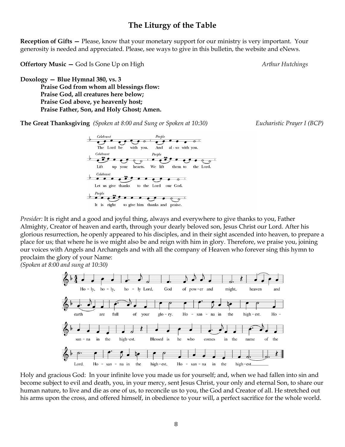### **The Liturgy of the Table**

**Reception of Gifts – Please, know that your monetary support for our ministry is very important. Your** generosity is needed and appreciated. Please, see ways to give in this bulletin, the website and eNews.

**Offertory Music – God Is Gone Up on High** *Arthur Hutchings Arthur Hutchings**Arthur Hutchings* 

**Doxology — Blue Hymnal 380, vs. 3 Praise God from whom all blessings flow: Praise God, all creatures here below; Praise God above, ye heavenly host; Praise Father, Son, and Holy Ghost; Amen.**

**The Great Thanksgiving** *(Spoken at 8:00 and Sung or Spoken at 10:30) Eucharistic Prayer I (BCP)*



*Presider:* It is right and a good and joyful thing, always and everywhere to give thanks to you, Father Almighty, Creator of heaven and earth, through your dearly beloved son, Jesus Christ our Lord. After his glorious resurrection, he openly appeared to his disciples, and in their sight ascended into heaven, to prepare a place for us; that where he is we might also be and reign with him in glory. Therefore, we praise you, joining our voices with Angels and Archangels and with all the company of Heaven who forever sing this hymn to proclaim the glory of your Name:

*(Spoken at 8:00 and sung at 10:30)*



Holy and gracious God: In your infinite love you made us for yourself; and, when we had fallen into sin and become subject to evil and death, you, in your mercy, sent Jesus Christ, your only and eternal Son, to share our human nature, to live and die as one of us, to reconcile us to you, the God and Creator of all. He stretched out his arms upon the cross, and offered himself, in obedience to your will, a perfect sacrifice for the whole world.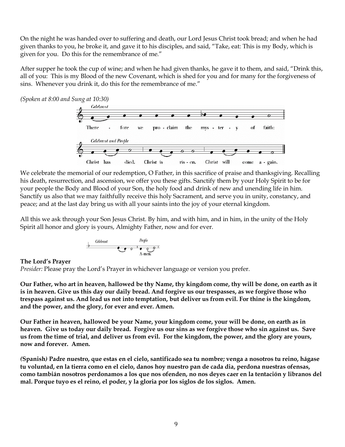On the night he was handed over to suffering and death, our Lord Jesus Christ took bread; and when he had given thanks to you, he broke it, and gave it to his disciples, and said, "Take, eat: This is my Body, which is given for you. Do this for the remembrance of me."

After supper he took the cup of wine; and when he had given thanks, he gave it to them, and said, "Drink this, all of you: This is my Blood of the new Covenant, which is shed for you and for many for the forgiveness of sins. Whenever you drink it, do this for the remembrance of me."

*(Spoken at 8:00 and Sung at 10:30)*



We celebrate the memorial of our redemption, O Father, in this sacrifice of praise and thanksgiving. Recalling his death, resurrection, and ascension, we offer you these gifts. Sanctify them by your Holy Spirit to be for your people the Body and Blood of your Son, the holy food and drink of new and unending life in him. Sanctify us also that we may faithfully receive this holy Sacrament, and serve you in unity, constancy, and peace; and at the last day bring us with all your saints into the joy of your eternal kingdom.

All this we ask through your Son Jesus Christ. By him, and with him, and in him, in the unity of the Holy Spirit all honor and glory is yours, Almighty Father, now and for ever.

| Gelebranch | People |     |     |
|------------|--------|-----|-----|
| b          | $O$    | $O$ | $O$ |
| A-men.     |        |     |     |

#### **The Lord's Prayer**

*Presider:* Please pray the Lord's Prayer in whichever language or version you prefer.

**Our Father, who art in heaven, hallowed be thy Name, thy kingdom come, thy will be done, on earth as it is in heaven. Give us this day our daily bread. And forgive us our trespasses, as we forgive those who trespass against us. And lead us not into temptation, but deliver us from evil. For thine is the kingdom, and the power, and the glory, for ever and ever. Amen.**

**Our Father in heaven, hallowed be your Name, your kingdom come, your will be done, on earth as in heaven. Give us today our daily bread. Forgive us our sins as we forgive those who sin against us. Save us from the time of trial, and deliver us from evil. For the kingdom, the power, and the glory are yours, now and forever. Amen.**

*(***Spanish***)* **Padre nuestro, que estas en el cielo, santificado sea tu nombre; venga a nosotros tu reino, hágase tu voluntad, en la tierra como en el cielo, danos hoy nuestro pan de cada dia, perdona nuestras ofensas, como tambián nosotros perdonamos a los que nos ofenden, no nos deyes caer en la tentación y libranos del mal. Porque tuyo es el reino, el poder, y la gloria por los siglos de los siglos. Amen.**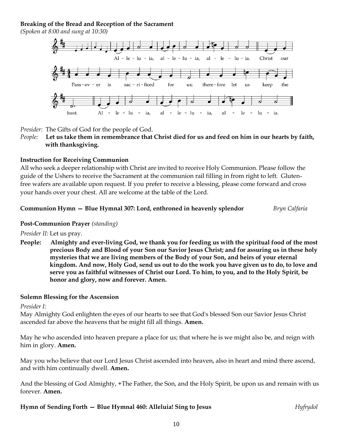#### **Breaking of the Bread and Reception of the Sacrament**

*(Spoken at 8:00 and sung at 10:30)*



*Presider:* The Gifts of God for the people of God.

*People:* **Let us take them in remembrance that Christ died for us and feed on him in our hearts by faith, with thanksgiving.** 

#### **Instruction for Receiving Communion**

All who seek a deeper relationship with Christ are invited to receive Holy Communion. Please follow the guide of the Ushers to receive the Sacrament at the communion rail filling in from right to left. Glutenfree wafers are available upon request. If you prefer to receive a blessing, please come forward and cross your hands over your chest. All are welcome at the table of the Lord.

#### **Communion Hymn — Blue Hymnal 307: Lord, enthroned in heavenly splendor** *Bryn Calfaria*

#### **Post-Communion Prayer** *(standing)*

*Presider II:* Let us pray.

**People: Almighty and ever-living God, we thank you for feeding us with the spiritual food of the most precious Body and Blood of your Son our Savior Jesus Christ; and for assuring us in these holy mysteries that we are living members of the Body of your Son, and heirs of your eternal kingdom. And now, Holy God, send us out to do the work you have given us to do, to love and serve you as faithful witnesses of Christ our Lord. To him, to you, and to the Holy Spirit, be honor and glory, now and forever. Amen.**

#### **Solemn Blessing for the Ascension**

*Presider I:*

May Almighty God enlighten the eyes of our hearts to see that God's blessed Son our Savior Jesus Christ ascended far above the heavens that he might fill all things. **Amen.**

May he who ascended into heaven prepare a place for us; that where he is we might also be, and reign with him in glory. **Amen.**

May you who believe that our Lord Jesus Christ ascended into heaven, also in heart and mind there ascend, and with him continually dwell. **Amen.**

And the blessing of God Almighty, +The Father, the Son, and the Holy Spirit, be upon us and remain with us forever. **Amen.**

**Hymn of Sending Forth — Blue Hymnal 460: Alleluia! Sing to Jesus** *Hyfrydol*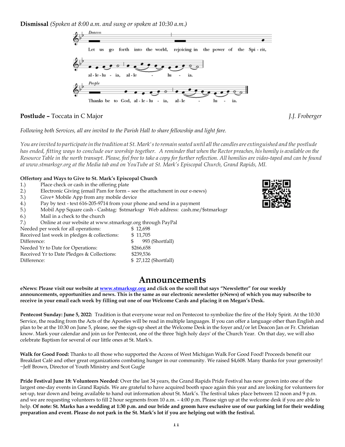**Dismissal** *(Spoken at 8:00 a.m. and sung or spoken at 10:30 a.m.)*



#### **Postlude –** Toccata in C Major *J.J. Froberger*

*Following both Services, all are invited to the Parish Hall to share fellowship and light fare.*

You are invited to participate in the tradition at St. Mark's to remain seated until all the candles are extinguished and the postlude *has ended, fitting ways to conclude our worship together. A reminderthat when the Rector preaches, his homily is available on the* Resource Table in the north transept. Please, feel free to take a copy for further reflection. All homilies are video-taped and can be found *at [www.stmarksgr.org](http://www.stmarksgr.org/) at the Media tab and on YouTube at St. Mark's Episcopal Church, Grand Rapids, MI.*

#### **Offertory and Ways to Give to St. Mark's Episcopal Church**

- 1.) Place check or cash in the offering plate
- 2.) Electronic Giving (email Pam for form see the attachment in our e-news)
- 3.) Give+ Mobile App from any mobile device
- 4.) Pay by text text 616-205-9714 from your phone and send in a payment
- 5.) Mobil App Square cash Cashtag: \$stmarksgr Web address: cash.me/\$stmarksgr
- 6.) Mail in a check to the church
- 7.) Online at our website at www.stmarksgr.org through PayPal

| Needed per week for all operations:          | \$12,698             |
|----------------------------------------------|----------------------|
| Received last week in pledges & collections: | \$11,705             |
| Difference:                                  | 993 (Shortfall)      |
| Needed Yr to Date for Operations:            | \$266,658            |
| Received Yr to Date Pledges & Collections:   | \$239,536            |
| Difference:                                  | \$27,122 (Shortfall) |

## **Announcements**

eNews: Please visit our website at [www.stmarksgr.org](http://www.stmarksgr.org/) and click on the scroll that says "Newsletter" for our weekly announcements, opportunities and news. This is the same as our electronic newsletter (eNews) of which you may subscribe to receive in your email each week by filling out one of our Welcome Cards and placing it on Megan's Desk.

**Pentecost Sunday: June 5, 2022:** Tradition is that everyone wear red on Pentecost to symbolize the fire of the Holy Spirit. At the 10:30 Service, the reading from the Acts of the Apostles will be read in multiple languages. If you can offer a language other than English and plan to be at the 10:30 on June 5, please, see the sign-up sheet at the Welcome Desk in the foyer and/or let Deacon Jan or Fr. Christian know. Mark your calendar and join us for Pentecost, one of the three 'high holy days' of the Church Year. On that day, we will also celebrate Baptism for several of our little ones at St. Mark's.

**Walk for Good Food:** Thanks to all those who supported the Access of West Michigan Walk For Good Food! Proceeds benefit our Breakfast Café and other great organizations combating hunger in our community. We raised \$4,608. Many thanks for your generosity! ~Jeff Brown, Director of Youth Ministry and Scot Gugle

**Pride Festival June 18: Volunteers Needed**: Over the last 34 years, the Grand Rapids Pride Festival has now grown into one of the largest one-day events in Grand Rapids. We are grateful to have acquired booth space again this year and are looking for volunteers for set-up, tear down and being available to hand out information about St. Mark's. The festival takes place between 12 noon and 9 p.m. and we are requesting volunteers to fill 2 hour segments from 10 a.m. – 4:00 p.m. Please sign up at the welcome desk if you are able to help. **Of note: St. Marks has a wedding at 1:30 p.m. and our bride and groom have exclusive use of our parking lot for their wedding preparation and event. Please do not park in the St. Mark's lot if you are helping out with the festival.**